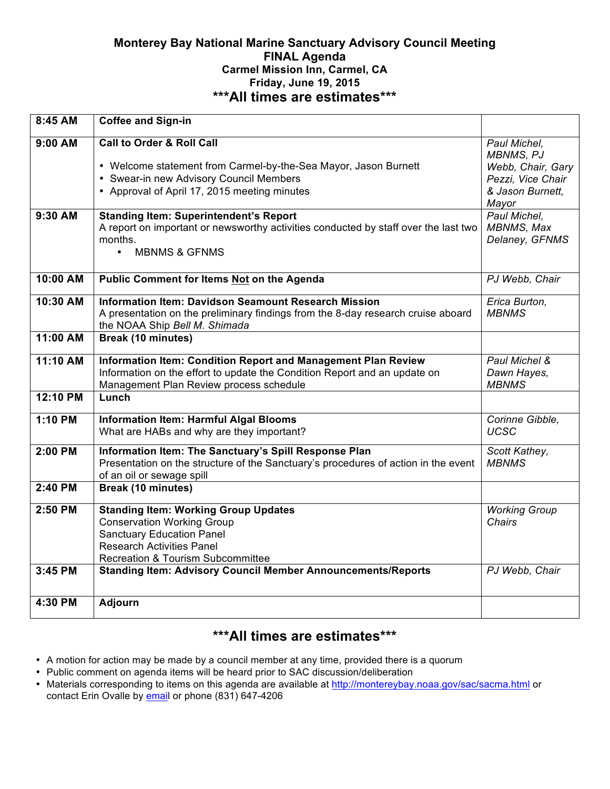### **Monterey Bay National Marine Sanctuary Advisory Council Meeting FINAL Agenda Carmel Mission Inn, Carmel, CA Friday, June 19, 2015 \*\*\*All times are estimates\*\*\***

| 8:45 AM   | <b>Coffee and Sign-in</b>                                                                                                                       |                                  |
|-----------|-------------------------------------------------------------------------------------------------------------------------------------------------|----------------------------------|
| $9:00$ AM | <b>Call to Order &amp; Roll Call</b>                                                                                                            | Paul Michel,<br><b>MBNMS, PJ</b> |
|           | • Welcome statement from Carmel-by-the-Sea Mayor, Jason Burnett                                                                                 | Webb, Chair, Gary                |
|           | • Swear-in new Advisory Council Members                                                                                                         | Pezzi, Vice Chair                |
|           | • Approval of April 17, 2015 meeting minutes                                                                                                    | & Jason Burnett,                 |
| 9:30 AM   |                                                                                                                                                 | Mayor<br>Paul Michel.            |
|           | <b>Standing Item: Superintendent's Report</b><br>A report on important or newsworthy activities conducted by staff over the last two<br>months. | MBNMS, Max<br>Delaney, GFNMS     |
|           | <b>MBNMS &amp; GFNMS</b><br>$\bullet$                                                                                                           |                                  |
| 10:00 AM  | Public Comment for Items Not on the Agenda                                                                                                      | PJ Webb, Chair                   |
| 10:30 AM  | <b>Information Item: Davidson Seamount Research Mission</b>                                                                                     | Erica Burton,                    |
|           | A presentation on the preliminary findings from the 8-day research cruise aboard<br>the NOAA Ship Bell M. Shimada                               | <b>MBNMS</b>                     |
| 11:00 AM  | Break (10 minutes)                                                                                                                              |                                  |
| 11:10 AM  | Information Item: Condition Report and Management Plan Review                                                                                   | Paul Michel &                    |
|           | Information on the effort to update the Condition Report and an update on<br>Management Plan Review process schedule                            | Dawn Hayes,<br><b>MBNMS</b>      |
| 12:10 PM  | Lunch                                                                                                                                           |                                  |
| 1:10 PM   | <b>Information Item: Harmful Algal Blooms</b><br>What are HABs and why are they important?                                                      | Corinne Gibble,<br><b>UCSC</b>   |
|           |                                                                                                                                                 |                                  |
| 2:00 PM   | Information Item: The Sanctuary's Spill Response Plan                                                                                           | Scott Kathey,                    |
|           | Presentation on the structure of the Sanctuary's procedures of action in the event                                                              | <b>MBNMS</b>                     |
|           | of an oil or sewage spill                                                                                                                       |                                  |
| 2:40 PM   | Break (10 minutes)                                                                                                                              |                                  |
| 2:50 PM   | <b>Standing Item: Working Group Updates</b>                                                                                                     | <b>Working Group</b>             |
|           | <b>Conservation Working Group</b>                                                                                                               | Chairs                           |
|           | <b>Sanctuary Education Panel</b>                                                                                                                |                                  |
|           | <b>Research Activities Panel</b>                                                                                                                |                                  |
| 3:45 PM   | <b>Recreation &amp; Tourism Subcommittee</b><br><b>Standing Item: Advisory Council Member Announcements/Reports</b>                             | PJ Webb, Chair                   |
|           |                                                                                                                                                 |                                  |
| 4:30 PM   | Adjourn                                                                                                                                         |                                  |

# **\*\*\*All times are estimates\*\*\***

- A motion for action may be made by a council member at any time, provided there is a quorum
- Public comment on agenda items will be heard prior to SAC discussion/deliberation
- Materials corresponding to items on this agenda are available at http://montereybay.noaa.gov/sac/sacma.html or contact Erin Ovalle by email or phone (831) 647-4206